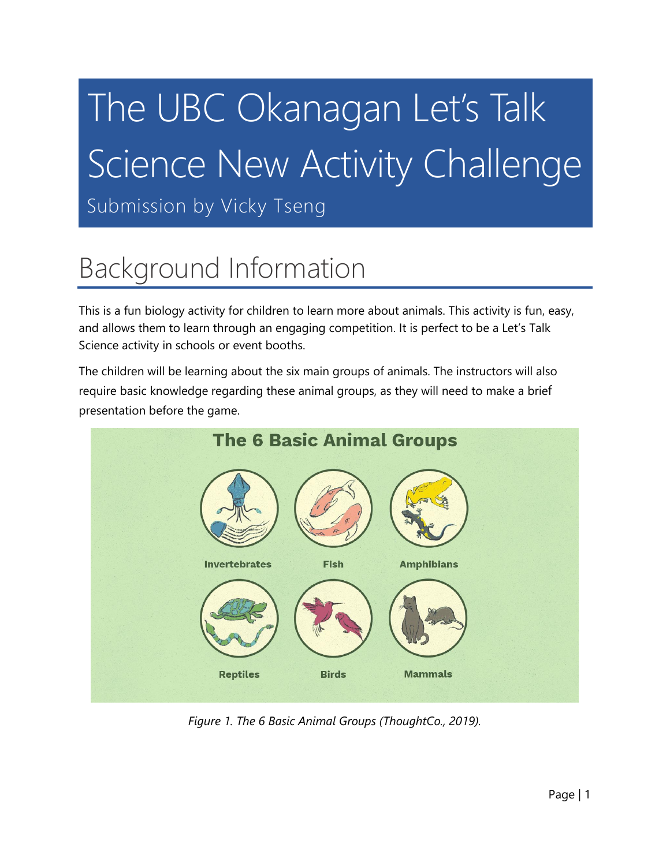# The UBC Okanagan Let's Talk Science New Activity Challenge

Submission by Vicky Tseng

# Background Information

This is a fun biology activity for children to learn more about animals. This activity is fun, easy, and allows them to learn through an engaging competition. It is perfect to be a Let's Talk Science activity in schools or event booths.

The children will be learning about the six main groups of animals. The instructors will also require basic knowledge regarding these animal groups, as they will need to make a brief presentation before the game.



*Figure 1. The 6 Basic Animal Groups (ThoughtCo., 2019).*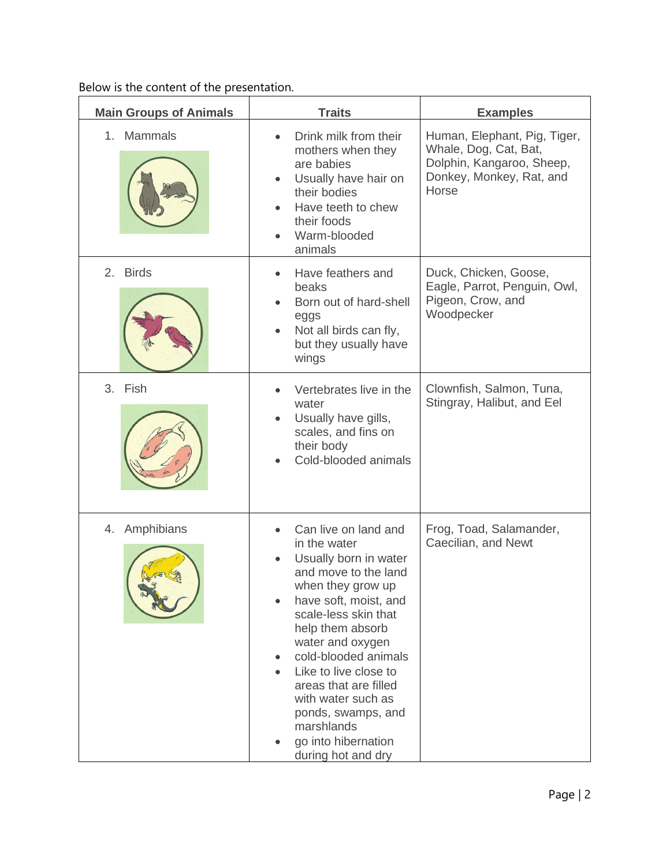Below is the content of the presentation.

| <b>Main Groups of Animals</b>  | <b>Traits</b>                                                                                                                                                                                                                                                                                                                                                                        | <b>Examples</b>                                                                                                         |
|--------------------------------|--------------------------------------------------------------------------------------------------------------------------------------------------------------------------------------------------------------------------------------------------------------------------------------------------------------------------------------------------------------------------------------|-------------------------------------------------------------------------------------------------------------------------|
| 1. Mammals                     | Drink milk from their<br>mothers when they<br>are babies<br>Usually have hair on<br>their bodies<br>Have teeth to chew<br>their foods<br>Warm-blooded<br>animals                                                                                                                                                                                                                     | Human, Elephant, Pig, Tiger,<br>Whale, Dog, Cat, Bat,<br>Dolphin, Kangaroo, Sheep,<br>Donkey, Monkey, Rat, and<br>Horse |
| <b>Birds</b><br>2 <sup>1</sup> | Have feathers and<br>beaks<br>Born out of hard-shell<br>eggs<br>Not all birds can fly,<br>but they usually have<br>wings                                                                                                                                                                                                                                                             | Duck, Chicken, Goose,<br>Eagle, Parrot, Penguin, Owl,<br>Pigeon, Crow, and<br>Woodpecker                                |
| 3. Fish                        | Vertebrates live in the<br>water<br>Usually have gills,<br>scales, and fins on<br>their body<br>Cold-blooded animals                                                                                                                                                                                                                                                                 | Clownfish, Salmon, Tuna,<br>Stingray, Halibut, and Eel                                                                  |
| 4. Amphibians                  | Can live on land and<br>in the water<br>Usually born in water<br>and move to the land<br>when they grow up<br>have soft, moist, and<br>scale-less skin that<br>help them absorb<br>water and oxygen<br>cold-blooded animals<br>Like to live close to<br>areas that are filled<br>with water such as<br>ponds, swamps, and<br>marshlands<br>go into hibernation<br>during hot and dry | Frog, Toad, Salamander,<br>Caecilian, and Newt                                                                          |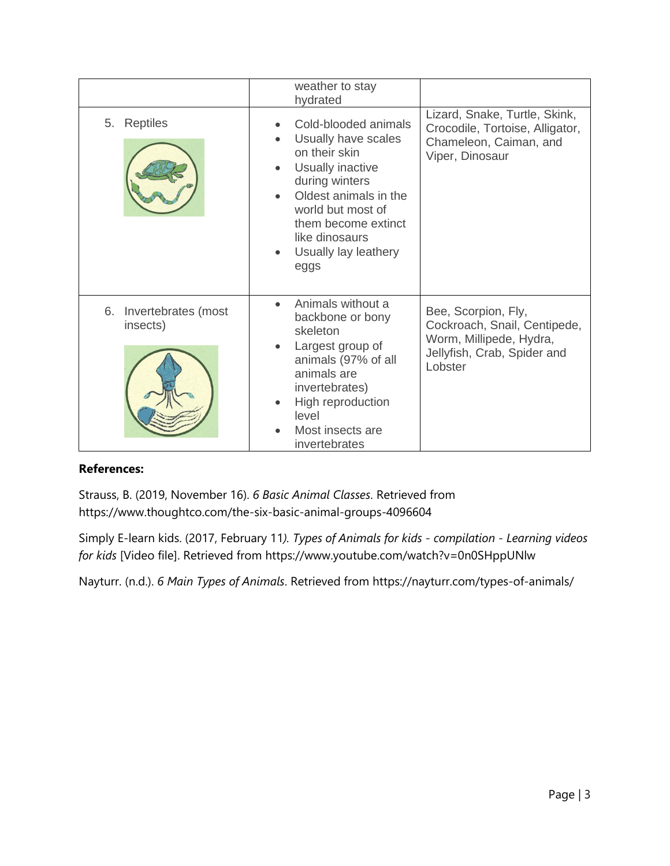|                                       | weather to stay<br>hydrated                                                                                                                                                                                               |                                                                                                                          |
|---------------------------------------|---------------------------------------------------------------------------------------------------------------------------------------------------------------------------------------------------------------------------|--------------------------------------------------------------------------------------------------------------------------|
| <b>Reptiles</b><br>5.                 | Cold-blooded animals<br>Usually have scales<br>on their skin<br>Usually inactive<br>during winters<br>Oldest animals in the<br>world but most of<br>them become extinct<br>like dinosaurs<br>Usually lay leathery<br>eggs | Lizard, Snake, Turtle, Skink,<br>Crocodile, Tortoise, Alligator,<br>Chameleon, Caiman, and<br>Viper, Dinosaur            |
| 6.<br>Invertebrates (most<br>insects) | Animals without a<br>backbone or bony<br>skeleton<br>Largest group of<br>animals (97% of all<br>animals are<br>invertebrates)<br>High reproduction<br>level<br>Most insects are<br>invertebrates                          | Bee, Scorpion, Fly,<br>Cockroach, Snail, Centipede,<br>Worm, Millipede, Hydra,<br>Jellyfish, Crab, Spider and<br>Lobster |

### **References:**

Strauss, B. (2019, November 16). *6 Basic Animal Classes*. Retrieved from https://www.thoughtco.com/the-six-basic-animal-groups-4096604

Simply E-learn kids. (2017, February 11*). Types of Animals for kids - compilation - Learning videos for kids* [Video file]. Retrieved from https://www.youtube.com/watch?v=0n0SHppUNlw

Nayturr. (n.d.). *6 Main Types of Animals*. Retrieved from https://nayturr.com/types-of-animals/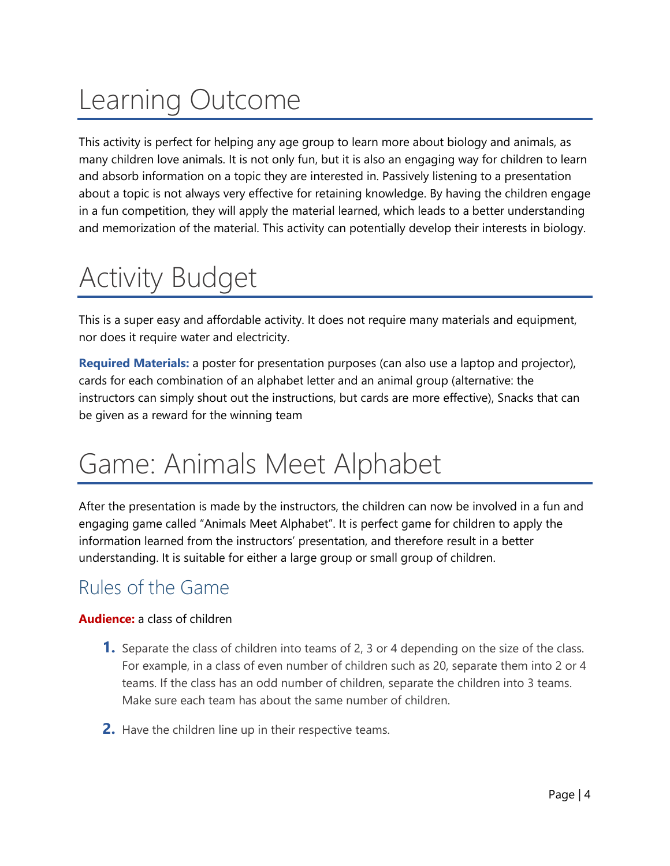# Learning Outcome

This activity is perfect for helping any age group to learn more about biology and animals, as many children love animals. It is not only fun, but it is also an engaging way for children to learn and absorb information on a topic they are interested in. Passively listening to a presentation about a topic is not always very effective for retaining knowledge. By having the children engage in a fun competition, they will apply the material learned, which leads to a better understanding and memorization of the material. This activity can potentially develop their interests in biology.

## Activity Budget

This is a super easy and affordable activity. It does not require many materials and equipment, nor does it require water and electricity.

**Required Materials:** a poster for presentation purposes (can also use a laptop and projector), cards for each combination of an alphabet letter and an animal group (alternative: the instructors can simply shout out the instructions, but cards are more effective), Snacks that can be given as a reward for the winning team

## Game: Animals Meet Alphabet

After the presentation is made by the instructors, the children can now be involved in a fun and engaging game called "Animals Meet Alphabet". It is perfect game for children to apply the information learned from the instructors' presentation, and therefore result in a better understanding. It is suitable for either a large group or small group of children.

## Rules of the Game

## **Audience:** a class of children

- **1.** Separate the class of children into teams of 2, 3 or 4 depending on the size of the class. For example, in a class of even number of children such as 20, separate them into 2 or 4 teams. If the class has an odd number of children, separate the children into 3 teams. Make sure each team has about the same number of children.
- **2.** Have the children line up in their respective teams.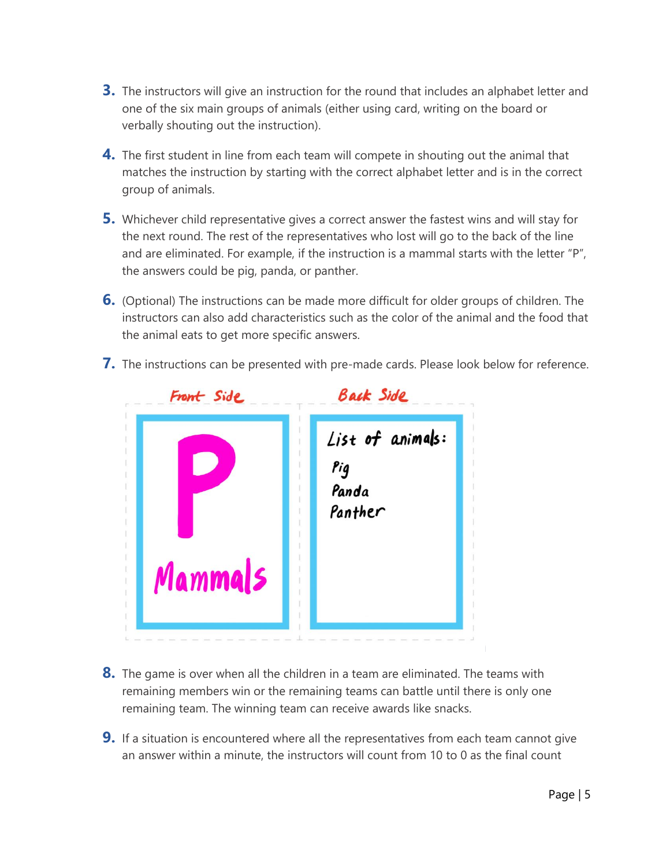- **3.** The instructors will give an instruction for the round that includes an alphabet letter and one of the six main groups of animals (either using card, writing on the board or verbally shouting out the instruction).
- **4.** The first student in line from each team will compete in shouting out the animal that matches the instruction by starting with the correct alphabet letter and is in the correct group of animals.
- **5.** Whichever child representative gives a correct answer the fastest wins and will stay for the next round. The rest of the representatives who lost will go to the back of the line and are eliminated. For example, if the instruction is a mammal starts with the letter "P", the answers could be pig, panda, or panther.
- **6.** (Optional) The instructions can be made more difficult for older groups of children. The instructors can also add characteristics such as the color of the animal and the food that the animal eats to get more specific answers.
- **7.** The instructions can be presented with pre-made cards. Please look below for reference.



- **8.** The game is over when all the children in a team are eliminated. The teams with remaining members win or the remaining teams can battle until there is only one remaining team. The winning team can receive awards like snacks.
- **9.** If a situation is encountered where all the representatives from each team cannot give an answer within a minute, the instructors will count from 10 to 0 as the final count